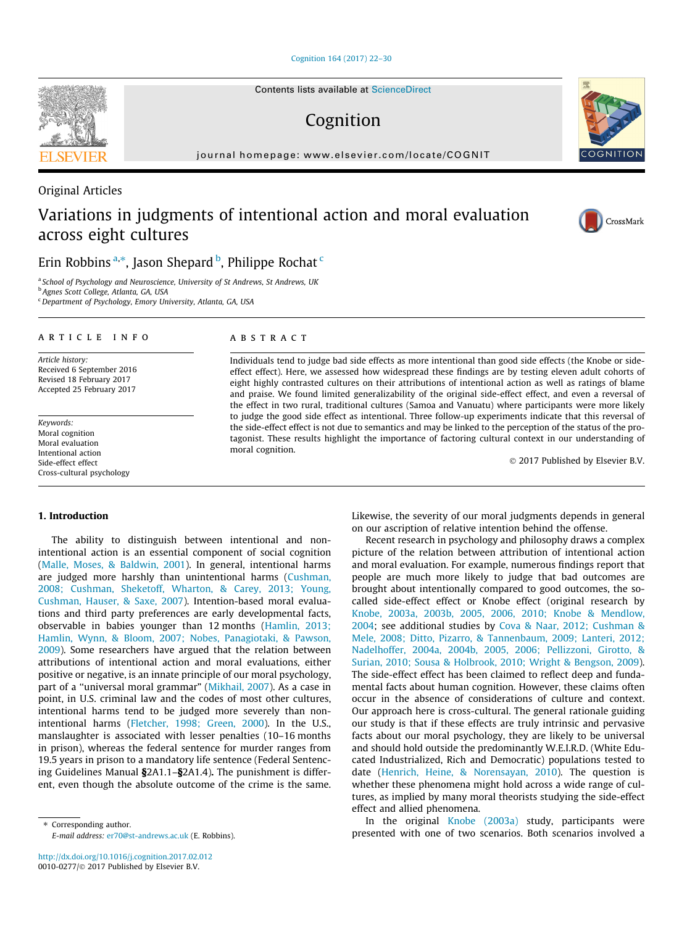#### [Cognition 164 \(2017\) 22–30](http://dx.doi.org/10.1016/j.cognition.2017.02.012)

# Cognition

journal homepage: [www.elsevier.com/locate/COGNIT](http://www.elsevier.com/locate/COGNIT)

# Variations in judgments of intentional action and moral evaluation across eight cultures

# Erin Robbins <sup>a,\*</sup>, Jason Shepard <sup>b</sup>, Philippe Rochat <sup>c</sup>

<sup>a</sup> School of Psychology and Neuroscience, University of St Andrews, St Andrews, UK

<sup>b</sup> Agnes Scott College, Atlanta, GA, USA

<sup>c</sup>Department of Psychology, Emory University, Atlanta, GA, USA

# article info

Article history: Received 6 September 2016 Revised 18 February 2017 Accepted 25 February 2017

Keywords: Moral cognition Moral evaluation Intentional action Side-effect effect Cross-cultural psychology

#### 1. Introduction

The ability to distinguish between intentional and nonintentional action is an essential component of social cognition ([Malle, Moses, & Baldwin, 2001](#page-8-0)). In general, intentional harms are judged more harshly than unintentional harms ([Cushman,](#page-8-0) [2008; Cushman, Sheketoff, Wharton, & Carey, 2013; Young,](#page-8-0) [Cushman, Hauser, & Saxe, 2007](#page-8-0)). Intention-based moral evaluations and third party preferences are early developmental facts, observable in babies younger than 12 months [\(Hamlin, 2013;](#page-8-0) [Hamlin, Wynn, & Bloom, 2007; Nobes, Panagiotaki, & Pawson,](#page-8-0) [2009\)](#page-8-0). Some researchers have argued that the relation between attributions of intentional action and moral evaluations, either positive or negative, is an innate principle of our moral psychology, part of a ''universal moral grammar" ([Mikhail, 2007\)](#page-8-0). As a case in point, in U.S. criminal law and the codes of most other cultures, intentional harms tend to be judged more severely than nonintentional harms [\(Fletcher, 1998; Green, 2000](#page-8-0)). In the U.S., manslaughter is associated with lesser penalties (10–16 months in prison), whereas the federal sentence for murder ranges from 19.5 years in prison to a mandatory life sentence (Federal Sentencing Guidelines Manual §2A1.1–§2A1.4). The punishment is different, even though the absolute outcome of the crime is the same.

#### **ABSTRACT**

Individuals tend to judge bad side effects as more intentional than good side effects (the Knobe or sideeffect effect). Here, we assessed how widespread these findings are by testing eleven adult cohorts of eight highly contrasted cultures on their attributions of intentional action as well as ratings of blame and praise. We found limited generalizability of the original side-effect effect, and even a reversal of the effect in two rural, traditional cultures (Samoa and Vanuatu) where participants were more likely to judge the good side effect as intentional. Three follow-up experiments indicate that this reversal of the side-effect effect is not due to semantics and may be linked to the perception of the status of the protagonist. These results highlight the importance of factoring cultural context in our understanding of moral cognition.

2017 Published by Elsevier B.V.

Likewise, the severity of our moral judgments depends in general on our ascription of relative intention behind the offense.

Recent research in psychology and philosophy draws a complex picture of the relation between attribution of intentional action and moral evaluation. For example, numerous findings report that people are much more likely to judge that bad outcomes are brought about intentionally compared to good outcomes, the socalled side-effect effect or Knobe effect (original research by [Knobe, 2003a, 2003b, 2005, 2006, 2010; Knobe & Mendlow,](#page-8-0) [2004;](#page-8-0) see additional studies by [Cova & Naar, 2012; Cushman &](#page-8-0) [Mele, 2008; Ditto, Pizarro, & Tannenbaum, 2009; Lanteri, 2012;](#page-8-0) [Nadelhoffer, 2004a, 2004b, 2005, 2006; Pellizzoni, Girotto, &](#page-8-0) [Surian, 2010; Sousa & Holbrook, 2010; Wright & Bengson, 2009\)](#page-8-0). The side-effect effect has been claimed to reflect deep and fundamental facts about human cognition. However, these claims often occur in the absence of considerations of culture and context. Our approach here is cross-cultural. The general rationale guiding our study is that if these effects are truly intrinsic and pervasive facts about our moral psychology, they are likely to be universal and should hold outside the predominantly W.E.I.R.D. (White Educated Industrialized, Rich and Democratic) populations tested to date [\(Henrich, Heine, & Norensayan, 2010\)](#page-8-0). The question is whether these phenomena might hold across a wide range of cultures, as implied by many moral theorists studying the side-effect effect and allied phenomena.

In the original [Knobe \(2003a\)](#page-8-0) study, participants were presented with one of two scenarios. Both scenarios involved a



Original Articles





<sup>⇑</sup> Corresponding author. E-mail address: [er70@st-andrews.ac.uk](mailto:er70@st-andrews.ac.uk) (E. Robbins).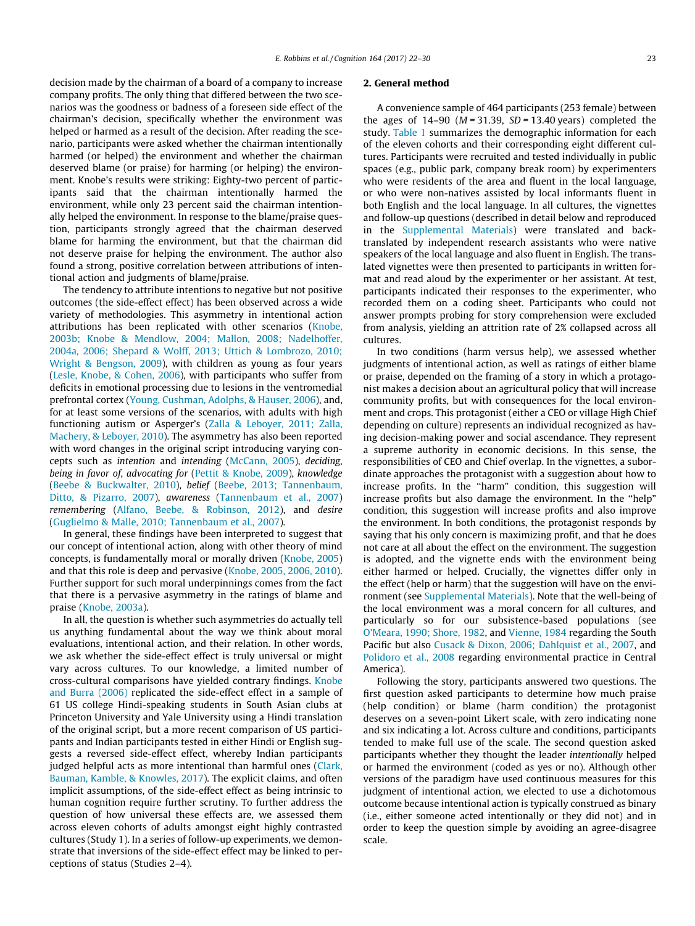decision made by the chairman of a board of a company to increase company profits. The only thing that differed between the two scenarios was the goodness or badness of a foreseen side effect of the chairman's decision, specifically whether the environment was helped or harmed as a result of the decision. After reading the scenario, participants were asked whether the chairman intentionally harmed (or helped) the environment and whether the chairman deserved blame (or praise) for harming (or helping) the environment. Knobe's results were striking: Eighty-two percent of participants said that the chairman intentionally harmed the environment, while only 23 percent said the chairman intentionally helped the environment. In response to the blame/praise question, participants strongly agreed that the chairman deserved blame for harming the environment, but that the chairman did not deserve praise for helping the environment. The author also found a strong, positive correlation between attributions of intentional action and judgments of blame/praise.

The tendency to attribute intentions to negative but not positive outcomes (the side-effect effect) has been observed across a wide variety of methodologies. This asymmetry in intentional action attributions has been replicated with other scenarios ([Knobe,](#page-8-0) [2003b; Knobe & Mendlow, 2004; Mallon, 2008; Nadelhoffer,](#page-8-0) [2004a, 2006; Shepard & Wolff, 2013; Uttich & Lombrozo, 2010;](#page-8-0) [Wright & Bengson, 2009\)](#page-8-0), with children as young as four years ([Lesle, Knobe, & Cohen, 2006](#page-8-0)), with participants who suffer from deficits in emotional processing due to lesions in the ventromedial prefrontal cortex [\(Young, Cushman, Adolphs, & Hauser, 2006\)](#page-8-0), and, for at least some versions of the scenarios, with adults with high functioning autism or Asperger's [\(Zalla & Leboyer, 2011; Zalla,](#page-8-0) [Machery, & Leboyer, 2010](#page-8-0)). The asymmetry has also been reported with word changes in the original script introducing varying concepts such as intention and intending ([McCann, 2005\)](#page-8-0), deciding, being in favor of, advocating for [\(Pettit & Knobe, 2009](#page-8-0)), knowledge ([Beebe & Buckwalter, 2010\)](#page-8-0), belief ([Beebe, 2013; Tannenbaum,](#page-8-0) [Ditto, & Pizarro, 2007](#page-8-0)), awareness ([Tannenbaum et al., 2007\)](#page-8-0) remembering [\(Alfano, Beebe, & Robinson, 2012\)](#page-8-0), and desire ([Guglielmo & Malle, 2010; Tannenbaum et al., 2007\)](#page-8-0).

In general, these findings have been interpreted to suggest that our concept of intentional action, along with other theory of mind concepts, is fundamentally moral or morally driven [\(Knobe, 2005\)](#page-8-0) and that this role is deep and pervasive ([Knobe, 2005, 2006, 2010\)](#page-8-0). Further support for such moral underpinnings comes from the fact that there is a pervasive asymmetry in the ratings of blame and praise [\(Knobe, 2003a\)](#page-8-0).

In all, the question is whether such asymmetries do actually tell us anything fundamental about the way we think about moral evaluations, intentional action, and their relation. In other words, we ask whether the side-effect effect is truly universal or might vary across cultures. To our knowledge, a limited number of cross-cultural comparisons have yielded contrary findings. [Knobe](#page-8-0) [and Burra \(2006\)](#page-8-0) replicated the side-effect effect in a sample of 61 US college Hindi-speaking students in South Asian clubs at Princeton University and Yale University using a Hindi translation of the original script, but a more recent comparison of US participants and Indian participants tested in either Hindi or English suggests a reversed side-effect effect, whereby Indian participants judged helpful acts as more intentional than harmful ones [\(Clark,](#page-8-0) [Bauman, Kamble, & Knowles, 2017\)](#page-8-0). The explicit claims, and often implicit assumptions, of the side-effect effect as being intrinsic to human cognition require further scrutiny. To further address the question of how universal these effects are, we assessed them across eleven cohorts of adults amongst eight highly contrasted cultures (Study 1). In a series of follow-up experiments, we demonstrate that inversions of the side-effect effect may be linked to perceptions of status (Studies 2–4).

# 2. General method

A convenience sample of 464 participants (253 female) between the ages of  $14-90$  ( $M = 31.39$ ,  $SD = 13.40$  years) completed the study. [Table 1](#page-2-0) summarizes the demographic information for each of the eleven cohorts and their corresponding eight different cultures. Participants were recruited and tested individually in public spaces (e.g., public park, company break room) by experimenters who were residents of the area and fluent in the local language, or who were non-natives assisted by local informants fluent in both English and the local language. In all cultures, the vignettes and follow-up questions (described in detail below and reproduced in the Supplemental Materials) were translated and backtranslated by independent research assistants who were native speakers of the local language and also fluent in English. The translated vignettes were then presented to participants in written format and read aloud by the experimenter or her assistant. At test, participants indicated their responses to the experimenter, who recorded them on a coding sheet. Participants who could not answer prompts probing for story comprehension were excluded from analysis, yielding an attrition rate of 2% collapsed across all cultures.

In two conditions (harm versus help), we assessed whether judgments of intentional action, as well as ratings of either blame or praise, depended on the framing of a story in which a protagonist makes a decision about an agricultural policy that will increase community profits, but with consequences for the local environment and crops. This protagonist (either a CEO or village High Chief depending on culture) represents an individual recognized as having decision-making power and social ascendance. They represent a supreme authority in economic decisions. In this sense, the responsibilities of CEO and Chief overlap. In the vignettes, a subordinate approaches the protagonist with a suggestion about how to increase profits. In the ''harm" condition, this suggestion will increase profits but also damage the environment. In the ''help" condition, this suggestion will increase profits and also improve the environment. In both conditions, the protagonist responds by saying that his only concern is maximizing profit, and that he does not care at all about the effect on the environment. The suggestion is adopted, and the vignette ends with the environment being either harmed or helped. Crucially, the vignettes differ only in the effect (help or harm) that the suggestion will have on the environment (see Supplemental Materials). Note that the well-being of the local environment was a moral concern for all cultures, and particularly so for our subsistence-based populations (see [O'Meara, 1990; Shore, 1982,](#page-8-0) and [Vienne, 1984](#page-8-0) regarding the South Pacific but also [Cusack & Dixon, 2006; Dahlquist et al., 2007,](#page-8-0) and [Polidoro et al., 2008](#page-8-0) regarding environmental practice in Central America).

Following the story, participants answered two questions. The first question asked participants to determine how much praise (help condition) or blame (harm condition) the protagonist deserves on a seven-point Likert scale, with zero indicating none and six indicating a lot. Across culture and conditions, participants tended to make full use of the scale. The second question asked participants whether they thought the leader intentionally helped or harmed the environment (coded as yes or no). Although other versions of the paradigm have used continuous measures for this judgment of intentional action, we elected to use a dichotomous outcome because intentional action is typically construed as binary (i.e., either someone acted intentionally or they did not) and in order to keep the question simple by avoiding an agree-disagree scale.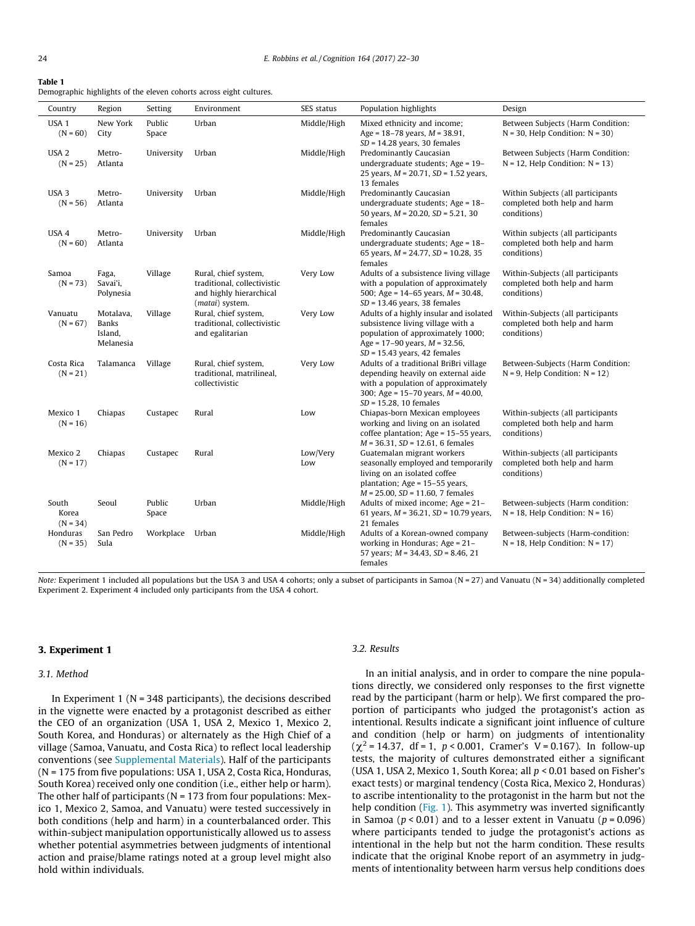#### <span id="page-2-0"></span>Table 1

| Demographic highlights of the eleven cohorts across eight cultures. |  |  |  |  |
|---------------------------------------------------------------------|--|--|--|--|
|                                                                     |  |  |  |  |

| Country                        | Region                                     | Setting         | Environment                                                                                       | SES status      | Population highlights                                                                                                                                                                      | Design                                                                           |
|--------------------------------|--------------------------------------------|-----------------|---------------------------------------------------------------------------------------------------|-----------------|--------------------------------------------------------------------------------------------------------------------------------------------------------------------------------------------|----------------------------------------------------------------------------------|
| USA <sub>1</sub><br>$(N = 60)$ | New York<br>City                           | Public<br>Space | Urban                                                                                             | Middle/High     | Mixed ethnicity and income;<br>Age = $18-78$ years, $M = 38.91$ ,<br>$SD = 14.28$ years, 30 females                                                                                        | Between Subjects (Harm Condition:<br>$N = 30$ , Help Condition: $N = 30$ )       |
| USA <sub>2</sub><br>$(N = 25)$ | Metro-<br>Atlanta                          | University      | Urban                                                                                             | Middle/High     | Predominantly Caucasian<br>undergraduate students; Age = 19-<br>25 years, $M = 20.71$ , $SD = 1.52$ years,<br>13 females                                                                   | Between Subjects (Harm Condition:<br>$N = 12$ , Help Condition: $N = 13$ )       |
| USA <sub>3</sub><br>$(N = 56)$ | Metro-<br>Atlanta                          | University      | Urban                                                                                             | Middle/High     | Predominantly Caucasian<br>undergraduate students; Age = 18-<br>50 years, $M = 20.20$ , $SD = 5.21$ , 30<br>females                                                                        | Within Subjects (all participants<br>completed both help and harm<br>conditions) |
| USA 4<br>$(N = 60)$            | Metro-<br>Atlanta                          | University      | Urban                                                                                             | Middle/High     | Predominantly Caucasian<br>undergraduate students; Age = 18-<br>65 years, $M = 24.77$ , $SD = 10.28$ , 35<br>females                                                                       | Within subjects (all participants<br>completed both help and harm<br>conditions) |
| Samoa<br>$(N = 73)$            | Faga,<br>Savai'i,<br>Polynesia             | Village         | Rural, chief system,<br>traditional, collectivistic<br>and highly hierarchical<br>(matai) system. | Very Low        | Adults of a subsistence living village<br>with a population of approximately<br>500; Age = $14-65$ years, $M = 30.48$ ,<br>$SD = 13.46$ years, 38 females                                  | Within-Subjects (all participants<br>completed both help and harm<br>conditions) |
| Vanuatu<br>$(N = 67)$          | Motalava,<br>Banks<br>Island,<br>Melanesia | Village         | Rural, chief system,<br>traditional, collectivistic<br>and egalitarian                            | Very Low        | Adults of a highly insular and isolated<br>subsistence living village with a<br>population of approximately 1000;<br>Age = $17-90$ years, $M = 32.56$ ,<br>$SD = 15.43$ years, 42 females  | Within-Subjects (all participants<br>completed both help and harm<br>conditions) |
| Costa Rica<br>$(N = 21)$       | Talamanca                                  | Village         | Rural, chief system,<br>traditional, matrilineal,<br>collectivistic                               | Very Low        | Adults of a traditional BriBri village<br>depending heavily on external aide<br>with a population of approximately<br>300; Age = $15-70$ years, $M = 40.00$ ,<br>$SD = 15.28$ , 10 females | Between-Subjects (Harm Condition:<br>$N = 9$ , Help Condition: $N = 12$ )        |
| Mexico 1<br>$(N = 16)$         | Chiapas                                    | Custapec        | Rural                                                                                             | Low             | Chiapas-born Mexican employees<br>working and living on an isolated<br>coffee plantation; Age = 15-55 years,<br>$M = 36.31$ , $SD = 12.61$ , 6 females                                     | Within-subjects (all participants<br>completed both help and harm<br>conditions) |
| Mexico 2<br>$(N = 17)$         | Chiapas                                    | Custapec        | Rural                                                                                             | Low/Very<br>Low | Guatemalan migrant workers<br>seasonally employed and temporarily<br>living on an isolated coffee<br>plantation; Age = 15-55 years,<br>$M = 25.00$ , $SD = 11.60$ , 7 females              | Within-subjects (all participants<br>completed both help and harm<br>conditions) |
| South<br>Korea<br>$(N = 34)$   | Seoul                                      | Public<br>Space | Urban                                                                                             | Middle/High     | Adults of mixed income; Age = 21-<br>61 years, $M = 36.21$ , $SD = 10.79$ years,<br>21 females                                                                                             | Between-subjects (Harm condition:<br>$N = 18$ , Help Condition: $N = 16$ )       |
| Honduras<br>$(N = 35)$         | San Pedro<br>Sula                          | Workplace       | Urban                                                                                             | Middle/High     | Adults of a Korean-owned company<br>working in Honduras; Age = 21-<br>57 years; $M = 34.43$ , $SD = 8.46$ , 21<br>females                                                                  | Between-subjects (Harm-condition:<br>$N = 18$ , Help Condition: $N = 17$ )       |

Note: Experiment 1 included all populations but the USA 3 and USA 4 cohorts; only a subset of participants in Samoa (N = 27) and Vanuatu (N = 34) additionally completed Experiment 2. Experiment 4 included only participants from the USA 4 cohort.

# 3. Experiment 1

#### 3.1. Method

In Experiment 1 ( $N = 348$  participants), the decisions described in the vignette were enacted by a protagonist described as either the CEO of an organization (USA 1, USA 2, Mexico 1, Mexico 2, South Korea, and Honduras) or alternately as the High Chief of a village (Samoa, Vanuatu, and Costa Rica) to reflect local leadership conventions (see Supplemental Materials). Half of the participants (N = 175 from five populations: USA 1, USA 2, Costa Rica, Honduras, South Korea) received only one condition (i.e., either help or harm). The other half of participants ( $N = 173$  from four populations: Mexico 1, Mexico 2, Samoa, and Vanuatu) were tested successively in both conditions (help and harm) in a counterbalanced order. This within-subject manipulation opportunistically allowed us to assess whether potential asymmetries between judgments of intentional action and praise/blame ratings noted at a group level might also hold within individuals.

# 3.2. Results

In an initial analysis, and in order to compare the nine populations directly, we considered only responses to the first vignette read by the participant (harm or help). We first compared the proportion of participants who judged the protagonist's action as intentional. Results indicate a significant joint influence of culture and condition (help or harm) on judgments of intentionality  $(\chi^2 = 14.37, df = 1, p < 0.001, Cramer's V = 0.167)$ . In follow-up tests, the majority of cultures demonstrated either a significant (USA 1, USA 2, Mexico 1, South Korea; all  $p < 0.01$  based on Fisher's exact tests) or marginal tendency (Costa Rica, Mexico 2, Honduras) to ascribe intentionality to the protagonist in the harm but not the help condition ([Fig. 1](#page-3-0)). This asymmetry was inverted significantly in Samoa ( $p < 0.01$ ) and to a lesser extent in Vanuatu ( $p = 0.096$ ) where participants tended to judge the protagonist's actions as intentional in the help but not the harm condition. These results indicate that the original Knobe report of an asymmetry in judgments of intentionality between harm versus help conditions does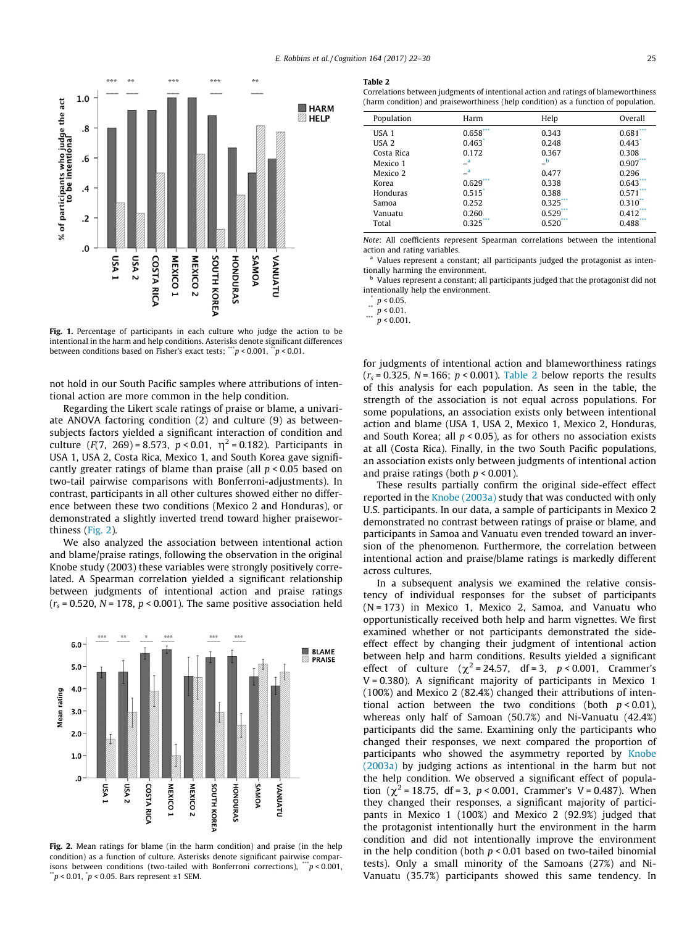<span id="page-3-0"></span>

Fig. 1. Percentage of participants in each culture who judge the action to be intentional in the harm and help conditions. Asterisks denote significant differences between conditions based on Fisher's exact tests;  $\dddot{p}$  < 0.001,  $\ddot{p}$  < 0.01.

not hold in our South Pacific samples where attributions of intentional action are more common in the help condition.

Regarding the Likert scale ratings of praise or blame, a univariate ANOVA factoring condition (2) and culture (9) as betweensubjects factors yielded a significant interaction of condition and culture (F(7, 269) = 8.573,  $p < 0.01$ ,  $\eta^2 = 0.182$ ). Participants in USA 1, USA 2, Costa Rica, Mexico 1, and South Korea gave significantly greater ratings of blame than praise (all  $p < 0.05$  based on two-tail pairwise comparisons with Bonferroni-adjustments). In contrast, participants in all other cultures showed either no difference between these two conditions (Mexico 2 and Honduras), or demonstrated a slightly inverted trend toward higher praiseworthiness (Fig. 2).

We also analyzed the association between intentional action and blame/praise ratings, following the observation in the original Knobe study (2003) these variables were strongly positively correlated. A Spearman correlation yielded a significant relationship between judgments of intentional action and praise ratings  $(r<sub>s</sub> = 0.520, N = 178, p < 0.001)$ . The same positive association held



Fig. 2. Mean ratings for blame (in the harm condition) and praise (in the help condition) as a function of culture. Asterisks denote significant pairwise comparisons between conditions (two-tailed with Bonferroni corrections),  $\ddot{p}$  < 0.001,  $\sqrt[*]{p}$  < 0.01,  $\sqrt[*]{p}$  < 0.05. Bars represent ±1 SEM.

#### Table 2

Correlations between judgments of intentional action and ratings of blameworthiness (harm condition) and praiseworthiness (help condition) as a function of population.

| Population       | Harm                 | Help                                    | Overall                |
|------------------|----------------------|-----------------------------------------|------------------------|
| USA <sub>1</sub> | 0.658                | 0.343                                   | 0.681                  |
| USA <sub>2</sub> | 0.463                | 0.248                                   | 0.443                  |
| Costa Rica       | 0.172                | 0.367                                   | 0.308                  |
| Mexico 1         | $\mathbf{a}$         | $\overline{\phantom{a}}^{\,\mathbf{b}}$ | 0.907                  |
| Mexico 2         | $\mathbf{a}$         | 0.477                                   | 0.296                  |
| Korea            | 0.629                | 0.338                                   | 0.643                  |
| Honduras         | $0.515$ <sup>*</sup> | 0.388                                   | $0.571$ <sup>***</sup> |
| Samoa            | 0.252                | 0.325                                   | 0.310                  |
| Vanuatu          | 0.260                | 0.529                                   | 0.412                  |
| Total            | 0.325                | 0.520                                   | 0.488                  |

Note: All coefficients represent Spearman correlations between the intentional action and rating variables.

<sup>a</sup> Values represent a constant; all participants judged the protagonist as intentionally harming the environment.

Values represent a constant; all participants judged that the protagonist did not intentionally help the environment.

 $p < 0.05$ .

 $\therefore$  p < 0.01.

 $p < 0.001$ .

for judgments of intentional action and blameworthiness ratings  $(r<sub>s</sub> = 0.325, N = 166; p < 0.001)$ . Table 2 below reports the results of this analysis for each population. As seen in the table, the strength of the association is not equal across populations. For some populations, an association exists only between intentional action and blame (USA 1, USA 2, Mexico 1, Mexico 2, Honduras, and South Korea; all  $p < 0.05$ ), as for others no association exists at all (Costa Rica). Finally, in the two South Pacific populations, an association exists only between judgments of intentional action and praise ratings (both  $p < 0.001$ ).

These results partially confirm the original side-effect effect reported in the [Knobe \(2003a\)](#page-8-0) study that was conducted with only U.S. participants. In our data, a sample of participants in Mexico 2 demonstrated no contrast between ratings of praise or blame, and participants in Samoa and Vanuatu even trended toward an inversion of the phenomenon. Furthermore, the correlation between intentional action and praise/blame ratings is markedly different across cultures.

In a subsequent analysis we examined the relative consistency of individual responses for the subset of participants (N = 173) in Mexico 1, Mexico 2, Samoa, and Vanuatu who opportunistically received both help and harm vignettes. We first examined whether or not participants demonstrated the sideeffect effect by changing their judgment of intentional action between help and harm conditions. Results yielded a significant effect of culture  $(\chi^2 = 24.57, df = 3, p < 0.001, Crammer's$ V = 0.380). A significant majority of participants in Mexico 1 (100%) and Mexico 2 (82.4%) changed their attributions of intentional action between the two conditions (both  $p < 0.01$ ), whereas only half of Samoan (50.7%) and Ni-Vanuatu (42.4%) participants did the same. Examining only the participants who changed their responses, we next compared the proportion of participants who showed the asymmetry reported by [Knobe](#page-8-0) [\(2003a\)](#page-8-0) by judging actions as intentional in the harm but not the help condition. We observed a significant effect of population  $(\chi^2 = 18.75, df = 3, p < 0.001, Crammer's V = 0.487)$ . When they changed their responses, a significant majority of participants in Mexico 1 (100%) and Mexico 2 (92.9%) judged that the protagonist intentionally hurt the environment in the harm condition and did not intentionally improve the environment in the help condition (both  $p < 0.01$  based on two-tailed binomial tests). Only a small minority of the Samoans (27%) and Ni-Vanuatu (35.7%) participants showed this same tendency. In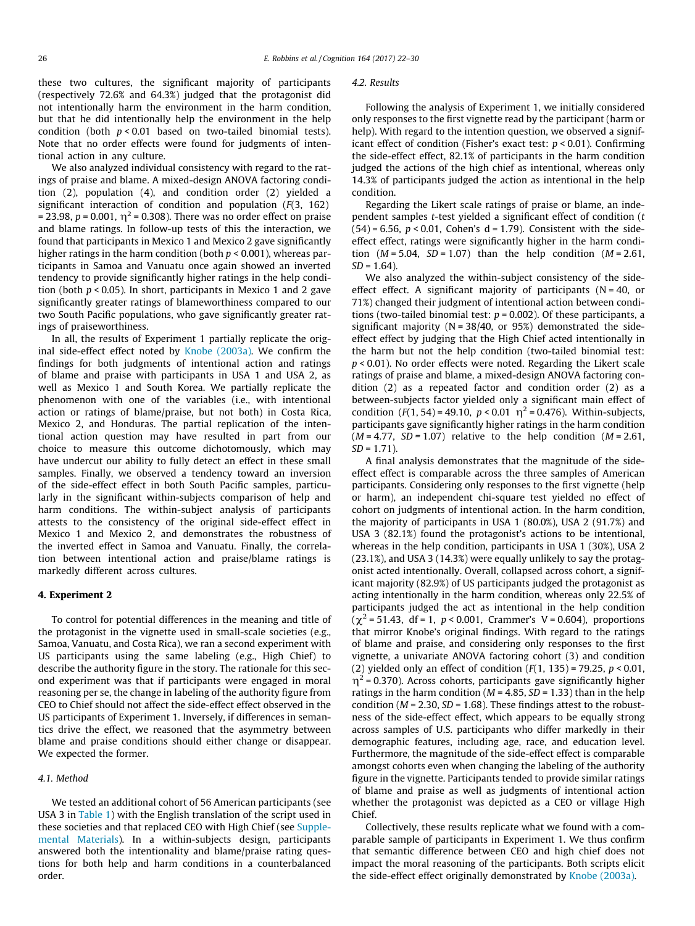these two cultures, the significant majority of participants (respectively 72.6% and 64.3%) judged that the protagonist did not intentionally harm the environment in the harm condition, but that he did intentionally help the environment in the help condition (both  $p < 0.01$  based on two-tailed binomial tests). Note that no order effects were found for judgments of intentional action in any culture.

We also analyzed individual consistency with regard to the ratings of praise and blame. A mixed-design ANOVA factoring condition (2), population (4), and condition order (2) yielded a significant interaction of condition and population (F(3, 162) = 23.98,  $p$  = 0.001,  $\eta^2$  = 0.308). There was no order effect on praise and blame ratings. In follow-up tests of this the interaction, we found that participants in Mexico 1 and Mexico 2 gave significantly higher ratings in the harm condition (both  $p < 0.001$ ), whereas participants in Samoa and Vanuatu once again showed an inverted tendency to provide significantly higher ratings in the help condition (both  $p < 0.05$ ). In short, participants in Mexico 1 and 2 gave significantly greater ratings of blameworthiness compared to our two South Pacific populations, who gave significantly greater ratings of praiseworthiness.

In all, the results of Experiment 1 partially replicate the original side-effect effect noted by [Knobe \(2003a\)](#page-8-0). We confirm the findings for both judgments of intentional action and ratings of blame and praise with participants in USA 1 and USA 2, as well as Mexico 1 and South Korea. We partially replicate the phenomenon with one of the variables (i.e., with intentional action or ratings of blame/praise, but not both) in Costa Rica, Mexico 2, and Honduras. The partial replication of the intentional action question may have resulted in part from our choice to measure this outcome dichotomously, which may have undercut our ability to fully detect an effect in these small samples. Finally, we observed a tendency toward an inversion of the side-effect effect in both South Pacific samples, particularly in the significant within-subjects comparison of help and harm conditions. The within-subject analysis of participants attests to the consistency of the original side-effect effect in Mexico 1 and Mexico 2, and demonstrates the robustness of the inverted effect in Samoa and Vanuatu. Finally, the correlation between intentional action and praise/blame ratings is markedly different across cultures.

#### 4. Experiment 2

To control for potential differences in the meaning and title of the protagonist in the vignette used in small-scale societies (e.g., Samoa, Vanuatu, and Costa Rica), we ran a second experiment with US participants using the same labeling (e.g., High Chief) to describe the authority figure in the story. The rationale for this second experiment was that if participants were engaged in moral reasoning per se, the change in labeling of the authority figure from CEO to Chief should not affect the side-effect effect observed in the US participants of Experiment 1. Inversely, if differences in semantics drive the effect, we reasoned that the asymmetry between blame and praise conditions should either change or disappear. We expected the former.

#### 4.1. Method

We tested an additional cohort of 56 American participants (see USA 3 in [Table 1](#page-2-0)) with the English translation of the script used in these societies and that replaced CEO with High Chief (see Supplemental Materials). In a within-subjects design, participants answered both the intentionality and blame/praise rating questions for both help and harm conditions in a counterbalanced order.

#### 4.2. Results

Following the analysis of Experiment 1, we initially considered only responses to the first vignette read by the participant (harm or help). With regard to the intention question, we observed a significant effect of condition (Fisher's exact test:  $p < 0.01$ ). Confirming the side-effect effect, 82.1% of participants in the harm condition judged the actions of the high chief as intentional, whereas only 14.3% of participants judged the action as intentional in the help condition.

Regarding the Likert scale ratings of praise or blame, an independent samples t-test yielded a significant effect of condition (t  $(54) = 6.56$ ,  $p < 0.01$ , Cohen's d = 1.79). Consistent with the sideeffect effect, ratings were significantly higher in the harm condition  $(M = 5.04, SD = 1.07)$  than the help condition  $(M = 2.61,$  $SD = 1.64$ ).

We also analyzed the within-subject consistency of the sideeffect effect. A significant majority of participants  $(N = 40, \text{ or }$ 71%) changed their judgment of intentional action between conditions (two-tailed binomial test:  $p = 0.002$ ). Of these participants, a significant majority ( $N = 38/40$ , or 95%) demonstrated the sideeffect effect by judging that the High Chief acted intentionally in the harm but not the help condition (two-tailed binomial test:  $p$  < 0.01). No order effects were noted. Regarding the Likert scale ratings of praise and blame, a mixed-design ANOVA factoring condition (2) as a repeated factor and condition order (2) as a between-subjects factor yielded only a significant main effect of condition  $(F(1, 54) = 49.10, p < 0.01 \eta^2 = 0.476)$ . Within-subjects, participants gave significantly higher ratings in the harm condition  $(M = 4.77, SD = 1.07)$  relative to the help condition  $(M = 2.61,$  $SD = 1.71$ ).

A final analysis demonstrates that the magnitude of the sideeffect effect is comparable across the three samples of American participants. Considering only responses to the first vignette (help or harm), an independent chi-square test yielded no effect of cohort on judgments of intentional action. In the harm condition, the majority of participants in USA 1 (80.0%), USA 2 (91.7%) and USA 3 (82.1%) found the protagonist's actions to be intentional, whereas in the help condition, participants in USA 1 (30%), USA 2 (23.1%), and USA 3 (14.3%) were equally unlikely to say the protagonist acted intentionally. Overall, collapsed across cohort, a significant majority (82.9%) of US participants judged the protagonist as acting intentionally in the harm condition, whereas only 22.5% of participants judged the act as intentional in the help condition  $(\chi^2 = 51.43, df = 1, p < 0.001, Crammer's V = 0.604)$ , proportions that mirror Knobe's original findings. With regard to the ratings of blame and praise, and considering only responses to the first vignette, a univariate ANOVA factoring cohort (3) and condition (2) yielded only an effect of condition  $(F(1, 135) = 79.25, p < 0.01,$  $\eta^2$  = 0.370). Across cohorts, participants gave significantly higher ratings in the harm condition ( $M = 4.85$ ,  $SD = 1.33$ ) than in the help condition ( $M = 2.30$ ,  $SD = 1.68$ ). These findings attest to the robustness of the side-effect effect, which appears to be equally strong across samples of U.S. participants who differ markedly in their demographic features, including age, race, and education level. Furthermore, the magnitude of the side-effect effect is comparable amongst cohorts even when changing the labeling of the authority figure in the vignette. Participants tended to provide similar ratings of blame and praise as well as judgments of intentional action whether the protagonist was depicted as a CEO or village High Chief.

Collectively, these results replicate what we found with a comparable sample of participants in Experiment 1. We thus confirm that semantic difference between CEO and high chief does not impact the moral reasoning of the participants. Both scripts elicit the side-effect effect originally demonstrated by [Knobe \(2003a\).](#page-8-0)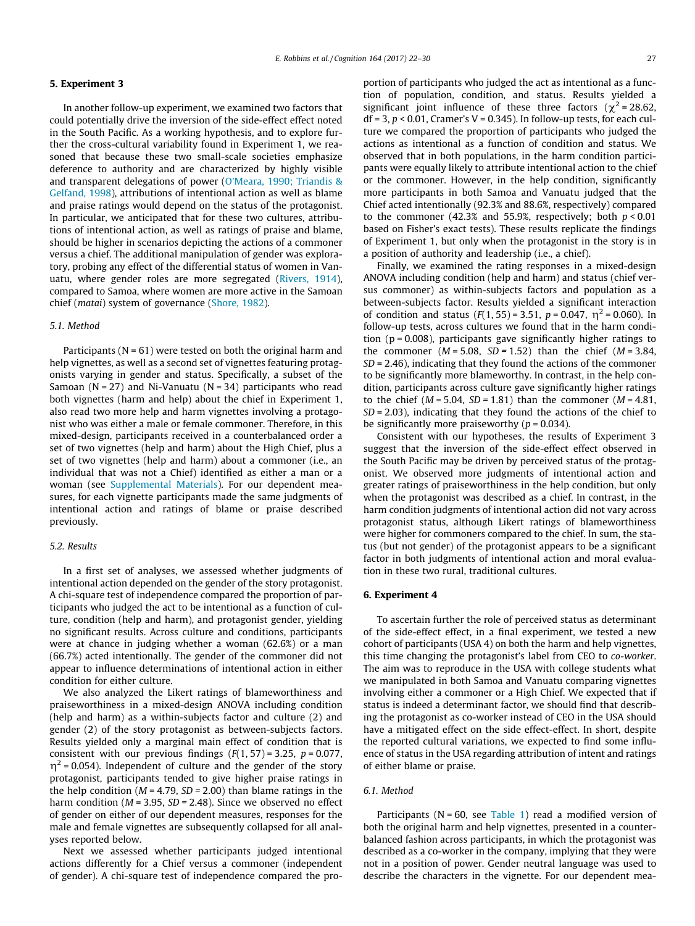# 5. Experiment 3

In another follow-up experiment, we examined two factors that could potentially drive the inversion of the side-effect effect noted in the South Pacific. As a working hypothesis, and to explore further the cross-cultural variability found in Experiment 1, we reasoned that because these two small-scale societies emphasize deference to authority and are characterized by highly visible and transparent delegations of power [\(O'Meara, 1990; Triandis &](#page-8-0) [Gelfand, 1998](#page-8-0)), attributions of intentional action as well as blame and praise ratings would depend on the status of the protagonist. In particular, we anticipated that for these two cultures, attributions of intentional action, as well as ratings of praise and blame, should be higher in scenarios depicting the actions of a commoner versus a chief. The additional manipulation of gender was exploratory, probing any effect of the differential status of women in Vanuatu, where gender roles are more segregated ([Rivers, 1914\)](#page-8-0), compared to Samoa, where women are more active in the Samoan chief (matai) system of governance [\(Shore, 1982](#page-8-0)).

#### 5.1. Method

Participants ( $N = 61$ ) were tested on both the original harm and help vignettes, as well as a second set of vignettes featuring protagonists varying in gender and status. Specifically, a subset of the Samoan  $(N = 27)$  and Ni-Vanuatu  $(N = 34)$  participants who read both vignettes (harm and help) about the chief in Experiment 1, also read two more help and harm vignettes involving a protagonist who was either a male or female commoner. Therefore, in this mixed-design, participants received in a counterbalanced order a set of two vignettes (help and harm) about the High Chief, plus a set of two vignettes (help and harm) about a commoner (i.e., an individual that was not a Chief) identified as either a man or a woman (see Supplemental Materials). For our dependent measures, for each vignette participants made the same judgments of intentional action and ratings of blame or praise described previously.

#### 5.2. Results

In a first set of analyses, we assessed whether judgments of intentional action depended on the gender of the story protagonist. A chi-square test of independence compared the proportion of participants who judged the act to be intentional as a function of culture, condition (help and harm), and protagonist gender, yielding no significant results. Across culture and conditions, participants were at chance in judging whether a woman (62.6%) or a man (66.7%) acted intentionally. The gender of the commoner did not appear to influence determinations of intentional action in either condition for either culture.

We also analyzed the Likert ratings of blameworthiness and praiseworthiness in a mixed-design ANOVA including condition (help and harm) as a within-subjects factor and culture (2) and gender (2) of the story protagonist as between-subjects factors. Results yielded only a marginal main effect of condition that is consistent with our previous findings  $(F(1, 57) = 3.25, p = 0.077,$  $\eta^2$  = 0.054). Independent of culture and the gender of the story protagonist, participants tended to give higher praise ratings in the help condition ( $M = 4.79$ ,  $SD = 2.00$ ) than blame ratings in the harm condition ( $M = 3.95$ ,  $SD = 2.48$ ). Since we observed no effect of gender on either of our dependent measures, responses for the male and female vignettes are subsequently collapsed for all analyses reported below.

Next we assessed whether participants judged intentional actions differently for a Chief versus a commoner (independent of gender). A chi-square test of independence compared the proportion of participants who judged the act as intentional as a function of population, condition, and status. Results yielded a significant joint influence of these three factors ( $\chi^2$  = 28.62, df = 3,  $p$  < 0.01, Cramer's V = 0.345). In follow-up tests, for each culture we compared the proportion of participants who judged the actions as intentional as a function of condition and status. We observed that in both populations, in the harm condition participants were equally likely to attribute intentional action to the chief or the commoner. However, in the help condition, significantly more participants in both Samoa and Vanuatu judged that the Chief acted intentionally (92.3% and 88.6%, respectively) compared to the commoner (42.3% and 55.9%, respectively; both  $p < 0.01$ based on Fisher's exact tests). These results replicate the findings of Experiment 1, but only when the protagonist in the story is in a position of authority and leadership (i.e., a chief).

Finally, we examined the rating responses in a mixed-design ANOVA including condition (help and harm) and status (chief versus commoner) as within-subjects factors and population as a between-subjects factor. Results yielded a significant interaction of condition and status  $(F(1, 55) = 3.51, p = 0.047, \eta^2 = 0.060)$ . In follow-up tests, across cultures we found that in the harm condition ( $p = 0.008$ ), participants gave significantly higher ratings to the commoner  $(M = 5.08, SD = 1.52)$  than the chief  $(M = 3.84,$  $SD = 2.46$ ), indicating that they found the actions of the commoner to be significantly more blameworthy. In contrast, in the help condition, participants across culture gave significantly higher ratings to the chief ( $M = 5.04$ ,  $SD = 1.81$ ) than the commoner ( $M = 4.81$ ,  $SD = 2.03$ ), indicating that they found the actions of the chief to be significantly more praiseworthy ( $p = 0.034$ ).

Consistent with our hypotheses, the results of Experiment 3 suggest that the inversion of the side-effect effect observed in the South Pacific may be driven by perceived status of the protagonist. We observed more judgments of intentional action and greater ratings of praiseworthiness in the help condition, but only when the protagonist was described as a chief. In contrast, in the harm condition judgments of intentional action did not vary across protagonist status, although Likert ratings of blameworthiness were higher for commoners compared to the chief. In sum, the status (but not gender) of the protagonist appears to be a significant factor in both judgments of intentional action and moral evaluation in these two rural, traditional cultures.

#### 6. Experiment 4

To ascertain further the role of perceived status as determinant of the side-effect effect, in a final experiment, we tested a new cohort of participants (USA 4) on both the harm and help vignettes, this time changing the protagonist's label from CEO to co-worker. The aim was to reproduce in the USA with college students what we manipulated in both Samoa and Vanuatu comparing vignettes involving either a commoner or a High Chief. We expected that if status is indeed a determinant factor, we should find that describing the protagonist as co-worker instead of CEO in the USA should have a mitigated effect on the side effect-effect. In short, despite the reported cultural variations, we expected to find some influence of status in the USA regarding attribution of intent and ratings of either blame or praise.

### 6.1. Method

Participants ( $N = 60$ , see [Table 1](#page-2-0)) read a modified version of both the original harm and help vignettes, presented in a counterbalanced fashion across participants, in which the protagonist was described as a co-worker in the company, implying that they were not in a position of power. Gender neutral language was used to describe the characters in the vignette. For our dependent mea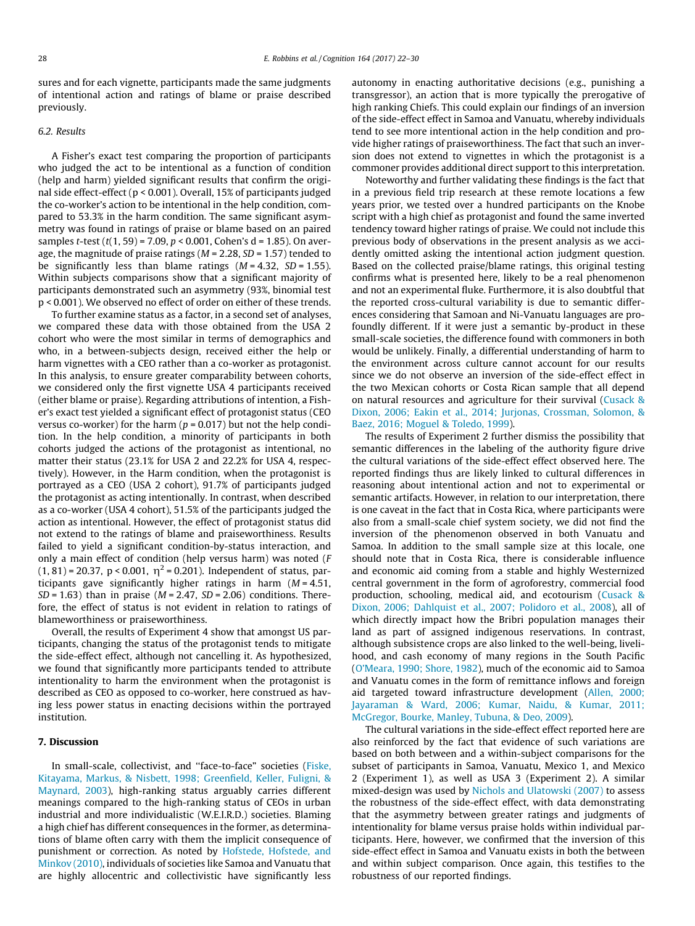sures and for each vignette, participants made the same judgments of intentional action and ratings of blame or praise described previously.

#### 6.2. Results

A Fisher's exact test comparing the proportion of participants who judged the act to be intentional as a function of condition (help and harm) yielded significant results that confirm the original side effect-effect (p < 0.001). Overall, 15% of participants judged the co-worker's action to be intentional in the help condition, compared to 53.3% in the harm condition. The same significant asymmetry was found in ratings of praise or blame based on an paired samples t-test  $(t(1, 59) = 7.09, p < 0.001$ , Cohen's d = 1.85). On average, the magnitude of praise ratings ( $M = 2.28$ ,  $SD = 1.57$ ) tended to be significantly less than blame ratings  $(M = 4.32, SD = 1.55)$ . Within subjects comparisons show that a significant majority of participants demonstrated such an asymmetry (93%, binomial test p < 0.001). We observed no effect of order on either of these trends.

To further examine status as a factor, in a second set of analyses, we compared these data with those obtained from the USA 2 cohort who were the most similar in terms of demographics and who, in a between-subjects design, received either the help or harm vignettes with a CEO rather than a co-worker as protagonist. In this analysis, to ensure greater comparability between cohorts, we considered only the first vignette USA 4 participants received (either blame or praise). Regarding attributions of intention, a Fisher's exact test yielded a significant effect of protagonist status (CEO versus co-worker) for the harm ( $p = 0.017$ ) but not the help condition. In the help condition, a minority of participants in both cohorts judged the actions of the protagonist as intentional, no matter their status (23.1% for USA 2 and 22.2% for USA 4, respectively). However, in the Harm condition, when the protagonist is portrayed as a CEO (USA 2 cohort), 91.7% of participants judged the protagonist as acting intentionally. In contrast, when described as a co-worker (USA 4 cohort), 51.5% of the participants judged the action as intentional. However, the effect of protagonist status did not extend to the ratings of blame and praiseworthiness. Results failed to yield a significant condition-by-status interaction, and only a main effect of condition (help versus harm) was noted (F  $(1, 81)$  = 20.37, p < 0.001,  $\eta^2$  = 0.201). Independent of status, participants gave significantly higher ratings in harm  $(M = 4.51)$ ,  $SD = 1.63$ ) than in praise ( $M = 2.47$ ,  $SD = 2.06$ ) conditions. Therefore, the effect of status is not evident in relation to ratings of blameworthiness or praiseworthiness.

Overall, the results of Experiment 4 show that amongst US participants, changing the status of the protagonist tends to mitigate the side-effect effect, although not cancelling it. As hypothesized, we found that significantly more participants tended to attribute intentionality to harm the environment when the protagonist is described as CEO as opposed to co-worker, here construed as having less power status in enacting decisions within the portrayed institution.

# 7. Discussion

In small-scale, collectivist, and ''face-to-face" societies ([Fiske,](#page-8-0) [Kitayama, Markus, & Nisbett, 1998; Greenfield, Keller, Fuligni, &](#page-8-0) [Maynard, 2003](#page-8-0)), high-ranking status arguably carries different meanings compared to the high-ranking status of CEOs in urban industrial and more individualistic (W.E.I.R.D.) societies. Blaming a high chief has different consequences in the former, as determinations of blame often carry with them the implicit consequence of punishment or correction. As noted by [Hofstede, Hofstede, and](#page-8-0) [Minkov \(2010\),](#page-8-0) individuals of societies like Samoa and Vanuatu that are highly allocentric and collectivistic have significantly less autonomy in enacting authoritative decisions (e.g., punishing a transgressor), an action that is more typically the prerogative of high ranking Chiefs. This could explain our findings of an inversion of the side-effect effect in Samoa and Vanuatu, whereby individuals tend to see more intentional action in the help condition and provide higher ratings of praiseworthiness. The fact that such an inversion does not extend to vignettes in which the protagonist is a commoner provides additional direct support to this interpretation.

Noteworthy and further validating these findings is the fact that in a previous field trip research at these remote locations a few years prior, we tested over a hundred participants on the Knobe script with a high chief as protagonist and found the same inverted tendency toward higher ratings of praise. We could not include this previous body of observations in the present analysis as we accidently omitted asking the intentional action judgment question. Based on the collected praise/blame ratings, this original testing confirms what is presented here, likely to be a real phenomenon and not an experimental fluke. Furthermore, it is also doubtful that the reported cross-cultural variability is due to semantic differences considering that Samoan and Ni-Vanuatu languages are profoundly different. If it were just a semantic by-product in these small-scale societies, the difference found with commoners in both would be unlikely. Finally, a differential understanding of harm to the environment across culture cannot account for our results since we do not observe an inversion of the side-effect effect in the two Mexican cohorts or Costa Rican sample that all depend on natural resources and agriculture for their survival ([Cusack &](#page-8-0) [Dixon, 2006; Eakin et al., 2014; Jurjonas, Crossman, Solomon, &](#page-8-0) [Baez, 2016; Moguel & Toledo, 1999\)](#page-8-0).

The results of Experiment 2 further dismiss the possibility that semantic differences in the labeling of the authority figure drive the cultural variations of the side-effect effect observed here. The reported findings thus are likely linked to cultural differences in reasoning about intentional action and not to experimental or semantic artifacts. However, in relation to our interpretation, there is one caveat in the fact that in Costa Rica, where participants were also from a small-scale chief system society, we did not find the inversion of the phenomenon observed in both Vanuatu and Samoa. In addition to the small sample size at this locale, one should note that in Costa Rica, there is considerable influence and economic aid coming from a stable and highly Westernized central government in the form of agroforestry, commercial food production, schooling, medical aid, and ecotourism ([Cusack &](#page-8-0) [Dixon, 2006; Dahlquist et al., 2007; Polidoro et al., 2008](#page-8-0)), all of which directly impact how the Bribri population manages their land as part of assigned indigenous reservations. In contrast, although subsistence crops are also linked to the well-being, livelihood, and cash economy of many regions in the South Pacific ([O'Meara, 1990; Shore, 1982\)](#page-8-0), much of the economic aid to Samoa and Vanuatu comes in the form of remittance inflows and foreign aid targeted toward infrastructure development [\(Allen, 2000;](#page-8-0) [Jayaraman & Ward, 2006; Kumar, Naidu, & Kumar, 2011;](#page-8-0) [McGregor, Bourke, Manley, Tubuna, & Deo, 2009\)](#page-8-0).

The cultural variations in the side-effect effect reported here are also reinforced by the fact that evidence of such variations are based on both between and a within-subject comparisons for the subset of participants in Samoa, Vanuatu, Mexico 1, and Mexico 2 (Experiment 1), as well as USA 3 (Experiment 2). A similar mixed-design was used by [Nichols and Ulatowski \(2007\)](#page-8-0) to assess the robustness of the side-effect effect, with data demonstrating that the asymmetry between greater ratings and judgments of intentionality for blame versus praise holds within individual participants. Here, however, we confirmed that the inversion of this side-effect effect in Samoa and Vanuatu exists in both the between and within subject comparison. Once again, this testifies to the robustness of our reported findings.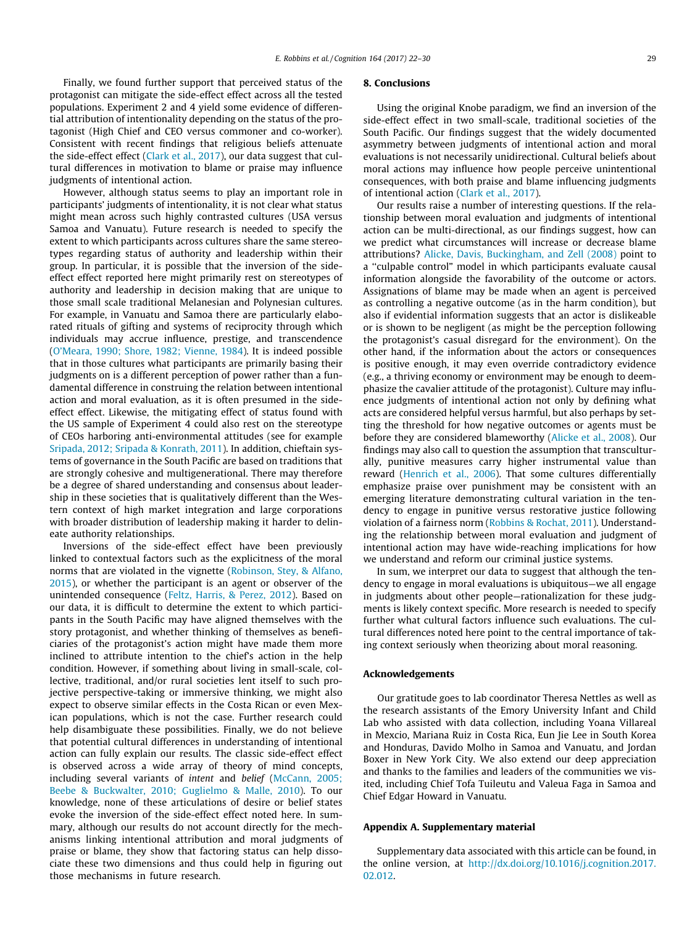Finally, we found further support that perceived status of the protagonist can mitigate the side-effect effect across all the tested populations. Experiment 2 and 4 yield some evidence of differential attribution of intentionality depending on the status of the protagonist (High Chief and CEO versus commoner and co-worker). Consistent with recent findings that religious beliefs attenuate the side-effect effect [\(Clark et al., 2017](#page-8-0)), our data suggest that cultural differences in motivation to blame or praise may influence judgments of intentional action.

However, although status seems to play an important role in participants' judgments of intentionality, it is not clear what status might mean across such highly contrasted cultures (USA versus Samoa and Vanuatu). Future research is needed to specify the extent to which participants across cultures share the same stereotypes regarding status of authority and leadership within their group. In particular, it is possible that the inversion of the sideeffect effect reported here might primarily rest on stereotypes of authority and leadership in decision making that are unique to those small scale traditional Melanesian and Polynesian cultures. For example, in Vanuatu and Samoa there are particularly elaborated rituals of gifting and systems of reciprocity through which individuals may accrue influence, prestige, and transcendence ([O'Meara, 1990; Shore, 1982; Vienne, 1984](#page-8-0)). It is indeed possible that in those cultures what participants are primarily basing their judgments on is a different perception of power rather than a fundamental difference in construing the relation between intentional action and moral evaluation, as it is often presumed in the sideeffect effect. Likewise, the mitigating effect of status found with the US sample of Experiment 4 could also rest on the stereotype of CEOs harboring anti-environmental attitudes (see for example [Sripada, 2012; Sripada & Konrath, 2011\)](#page-8-0). In addition, chieftain systems of governance in the South Pacific are based on traditions that are strongly cohesive and multigenerational. There may therefore be a degree of shared understanding and consensus about leadership in these societies that is qualitatively different than the Western context of high market integration and large corporations with broader distribution of leadership making it harder to delineate authority relationships.

Inversions of the side-effect effect have been previously linked to contextual factors such as the explicitness of the moral norms that are violated in the vignette [\(Robinson, Stey, & Alfano,](#page-8-0) [2015\)](#page-8-0), or whether the participant is an agent or observer of the unintended consequence [\(Feltz, Harris, & Perez, 2012](#page-8-0)). Based on our data, it is difficult to determine the extent to which participants in the South Pacific may have aligned themselves with the story protagonist, and whether thinking of themselves as beneficiaries of the protagonist's action might have made them more inclined to attribute intention to the chief's action in the help condition. However, if something about living in small-scale, collective, traditional, and/or rural societies lent itself to such projective perspective-taking or immersive thinking, we might also expect to observe similar effects in the Costa Rican or even Mexican populations, which is not the case. Further research could help disambiguate these possibilities. Finally, we do not believe that potential cultural differences in understanding of intentional action can fully explain our results. The classic side-effect effect is observed across a wide array of theory of mind concepts, including several variants of intent and belief [\(McCann, 2005;](#page-8-0) [Beebe & Buckwalter, 2010; Guglielmo & Malle, 2010\)](#page-8-0). To our knowledge, none of these articulations of desire or belief states evoke the inversion of the side-effect effect noted here. In summary, although our results do not account directly for the mechanisms linking intentional attribution and moral judgments of praise or blame, they show that factoring status can help dissociate these two dimensions and thus could help in figuring out those mechanisms in future research.

#### 8. Conclusions

Using the original Knobe paradigm, we find an inversion of the side-effect effect in two small-scale, traditional societies of the South Pacific. Our findings suggest that the widely documented asymmetry between judgments of intentional action and moral evaluations is not necessarily unidirectional. Cultural beliefs about moral actions may influence how people perceive unintentional consequences, with both praise and blame influencing judgments of intentional action ([Clark et al., 2017\)](#page-8-0).

Our results raise a number of interesting questions. If the relationship between moral evaluation and judgments of intentional action can be multi-directional, as our findings suggest, how can we predict what circumstances will increase or decrease blame attributions? [Alicke, Davis, Buckingham, and Zell \(2008\)](#page-8-0) point to a ''culpable control" model in which participants evaluate causal information alongside the favorability of the outcome or actors. Assignations of blame may be made when an agent is perceived as controlling a negative outcome (as in the harm condition), but also if evidential information suggests that an actor is dislikeable or is shown to be negligent (as might be the perception following the protagonist's casual disregard for the environment). On the other hand, if the information about the actors or consequences is positive enough, it may even override contradictory evidence (e.g., a thriving economy or environment may be enough to deemphasize the cavalier attitude of the protagonist). Culture may influence judgments of intentional action not only by defining what acts are considered helpful versus harmful, but also perhaps by setting the threshold for how negative outcomes or agents must be before they are considered blameworthy ([Alicke et al., 2008\)](#page-8-0). Our findings may also call to question the assumption that transculturally, punitive measures carry higher instrumental value than reward ([Henrich et al., 2006\)](#page-8-0). That some cultures differentially emphasize praise over punishment may be consistent with an emerging literature demonstrating cultural variation in the tendency to engage in punitive versus restorative justice following violation of a fairness norm [\(Robbins & Rochat, 2011](#page-8-0)). Understanding the relationship between moral evaluation and judgment of intentional action may have wide-reaching implications for how we understand and reform our criminal justice systems.

In sum, we interpret our data to suggest that although the tendency to engage in moral evaluations is ubiquitous—we all engage in judgments about other people—rationalization for these judgments is likely context specific. More research is needed to specify further what cultural factors influence such evaluations. The cultural differences noted here point to the central importance of taking context seriously when theorizing about moral reasoning.

### Acknowledgements

Our gratitude goes to lab coordinator Theresa Nettles as well as the research assistants of the Emory University Infant and Child Lab who assisted with data collection, including Yoana Villareal in Mexcio, Mariana Ruiz in Costa Rica, Eun Jie Lee in South Korea and Honduras, Davido Molho in Samoa and Vanuatu, and Jordan Boxer in New York City. We also extend our deep appreciation and thanks to the families and leaders of the communities we visited, including Chief Tofa Tuileutu and Valeua Faga in Samoa and Chief Edgar Howard in Vanuatu.

#### Appendix A. Supplementary material

Supplementary data associated with this article can be found, in the online version, at [http://dx.doi.org/10.1016/j.cognition.2017.](http://dx.doi.org/10.1016/j.cognition.2017.02.012) [02.012](http://dx.doi.org/10.1016/j.cognition.2017.02.012).